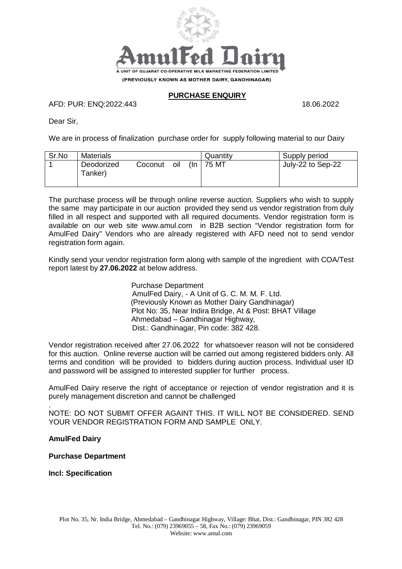

#### **PURCHASE ENQUIRY**

AFD: PUR: ENQ:2022:443 18.06.2022

Dear Sir,

We are in process of finalization purchase order for supply following material to our Dairy

| Sr.No | <b>Materials</b>      |         |     |        | Quantity | Supply period     |
|-------|-----------------------|---------|-----|--------|----------|-------------------|
|       | Deodorized<br>Tanker) | Coconut | oil | $(\ln$ | 75 MT    | July-22 to Sep-22 |

The purchase process will be through online reverse auction. Suppliers who wish to supply the same may participate in our auction provided they send us vendor registration from duly filled in all respect and supported with all required documents. Vendor registration form is available on our web site www.amul.com in B2B section "Vendor registration form for AmulFed Dairy" Vendors who are already registered with AFD need not to send vendor registration form again.

Kindly send your vendor registration form along with sample of the ingredient with COA/Test report latest by **27.06.2022** at below address.

> Purchase Department AmulFed Dairy, - A Unit of G. C. M. M. F. Ltd. (Previously Known as Mother Dairy Gandhinagar) Plot No: 35, Near Indira Bridge, At & Post: BHAT Village Ahmedabad – Gandhinagar Highway, Dist.: Gandhinagar, Pin code: 382 428.

Vendor registration received after 27.06.2022 for whatsoever reason will not be considered for this auction. Online reverse auction will be carried out among registered bidders only. All terms and condition will be provided to bidders during auction process. Individual user ID and password will be assigned to interested supplier for further process.

AmulFed Dairy reserve the right of acceptance or rejection of vendor registration and it is purely management discretion and cannot be challenged

. NOTE: DO NOT SUBMIT OFFER AGAINT THIS. IT WILL NOT BE CONSIDERED. SEND YOUR VENDOR REGISTRATION FORM AND SAMPLE ONLY.

#### **AmulFed Dairy**

**Purchase Department**

**Incl: Specification**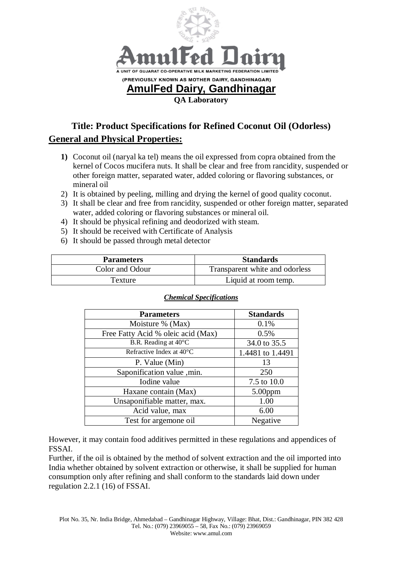

# **Title: Product Specifications for Refined Coconut Oil (Odorless) General and Physical Properties:**

- **1)** Coconut oil (naryal ka tel) means the oil expressed from copra obtained from the kernel of Cocos mucifera nuts. It shall be clear and free from rancidity, suspended or other foreign matter, separated water, added coloring or flavoring substances, or mineral oil
- 2) It is obtained by peeling, milling and drying the kernel of good quality coconut.
- 3) It shall be clear and free from rancidity, suspended or other foreign matter, separated water, added coloring or flavoring substances or mineral oil.
- 4) It should be physical refining and deodorized with steam.
- 5) It should be received with Certificate of Analysis
- 6) It should be passed through metal detector

| <b>Parameters</b> | <b>Standards</b>               |
|-------------------|--------------------------------|
| Color and Odour   | Transparent white and odorless |
| Texture           | Liquid at room temp.           |

| <b>Parameters</b>                  | <b>Standards</b> |
|------------------------------------|------------------|
| Moisture % (Max)                   | 0.1%             |
| Free Fatty Acid % oleic acid (Max) | 0.5%             |
| B.R. Reading at 40°C               | 34.0 to 35.5     |
| Refractive Index at 40°C           | 1.4481 to 1.4491 |
| P. Value (Min)                     | 13               |
| Saponification value , min.        | 250              |
| Iodine value                       | 7.5 to 10.0      |
| Haxane contain (Max)               | $5.00$ ppm       |
| Unsaponifiable matter, max.        | 1.00             |
| Acid value, max                    | 6.00             |
| Test for argemone oil              | Negative         |

#### *Chemical Specifications*

However, it may contain food additives permitted in these regulations and appendices of FSSAI.

Further, if the oil is obtained by the method of solvent extraction and the oil imported into India whether obtained by solvent extraction or otherwise, it shall be supplied for human consumption only after refining and shall conform to the standards laid down under regulation 2.2.1 (16) of FSSAI.